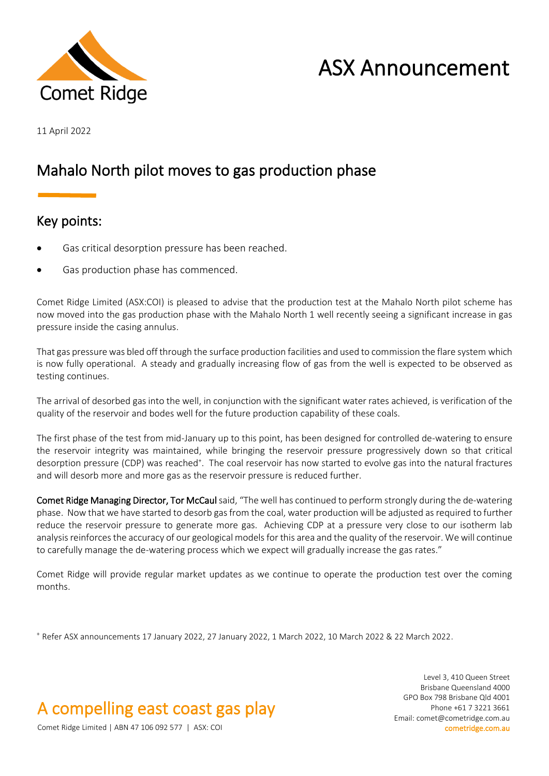

# ASX Announcement

11 April 2022

## Mahalo North pilot moves to gas production phase

### Key points:

- Gas critical desorption pressure has been reached.
- Gas production phase has commenced.

Comet Ridge Limited (ASX:COI) is pleased to advise that the production test at the Mahalo North pilot scheme has now moved into the gas production phase with the Mahalo North 1 well recently seeing a significant increase in gas pressure inside the casing annulus.

That gas pressure was bled off through the surface production facilities and used to commission the flare system which is now fully operational. A steady and gradually increasing flow of gas from the well is expected to be observed as testing continues.

The arrival of desorbed gas into the well, in conjunction with the significant water rates achieved, is verification of the quality of the reservoir and bodes well for the future production capability of these coals.

The first phase of the test from mid-January up to this point, has been designed for controlled de-watering to ensure the reservoir integrity was maintained, while bringing the reservoir pressure progressively down so that critical desorption pressure (CDP) was reached<sup>+</sup>. The coal reservoir has now started to evolve gas into the natural fractures and will desorb more and more gas as the reservoir pressure is reduced further.

Comet Ridge Managing Director, Tor McCaul said, "The well has continued to perform strongly during the de-watering phase. Now that we have started to desorb gas from the coal, water production will be adjusted as required to further reduce the reservoir pressure to generate more gas. Achieving CDP at a pressure very close to our isotherm lab analysis reinforcesthe accuracy of our geological models for this area and the quality of the reservoir. We will continue to carefully manage the de-watering process which we expect will gradually increase the gas rates."

Comet Ridge will provide regular market updates as we continue to operate the production test over the coming months.

<sup>+</sup> Refer ASX announcements 17 January 2022, 27 January 2022, 1 March 2022, 10 March 2022 & 22 March 2022.

A compelling east coast gas play

Level 3, 410 Queen Street Brisbane Queensland 4000 GPO Box 798 Brisbane Qld 4001 Phone +61 7 3221 3661 Email: comet@cometridge.com.au

Comet Ridge Limited | ABN 47 106 092 577 | ASX: COI cometridge.com.au cometridge.com.au